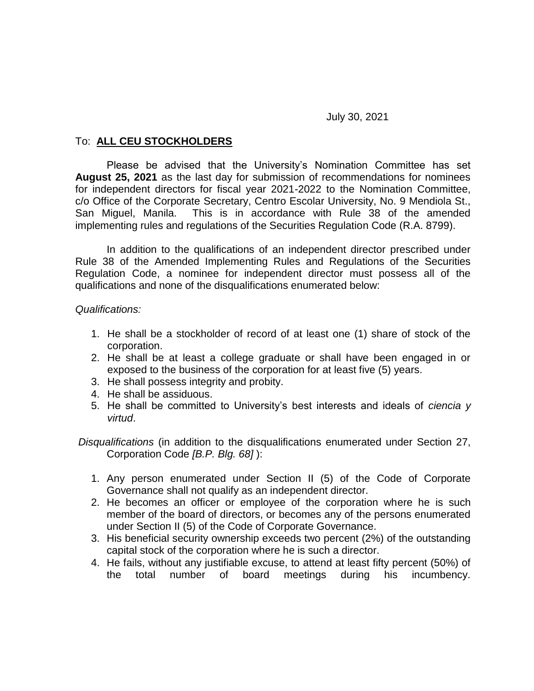## July 30, 2021

## To: **ALL CEU STOCKHOLDERS**

Please be advised that the University's Nomination Committee has set **August 25, 2021** as the last day for submission of recommendations for nominees for independent directors for fiscal year 2021-2022 to the Nomination Committee, c/o Office of the Corporate Secretary, Centro Escolar University, No. 9 Mendiola St., San Miguel, Manila. This is in accordance with Rule 38 of the amended implementing rules and regulations of the Securities Regulation Code (R.A. 8799).

In addition to the qualifications of an independent director prescribed under Rule 38 of the Amended Implementing Rules and Regulations of the Securities Regulation Code, a nominee for independent director must possess all of the qualifications and none of the disqualifications enumerated below:

## *Qualifications:*

- 1. He shall be a stockholder of record of at least one (1) share of stock of the corporation.
- 2. He shall be at least a college graduate or shall have been engaged in or exposed to the business of the corporation for at least five (5) years.
- 3. He shall possess integrity and probity.
- 4. He shall be assiduous.
- 5. He shall be committed to University's best interests and ideals of *ciencia y virtud*.

*Disqualifications* (in addition to the disqualifications enumerated under Section 27, Corporation Code *[B.P. Blg. 68]* ):

- 1. Any person enumerated under Section II (5) of the Code of Corporate Governance shall not qualify as an independent director.
- 2. He becomes an officer or employee of the corporation where he is such member of the board of directors, or becomes any of the persons enumerated under Section II (5) of the Code of Corporate Governance.
- 3. His beneficial security ownership exceeds two percent (2%) of the outstanding capital stock of the corporation where he is such a director.
- 4. He fails, without any justifiable excuse, to attend at least fifty percent (50%) of the total number of board meetings during his incumbency.